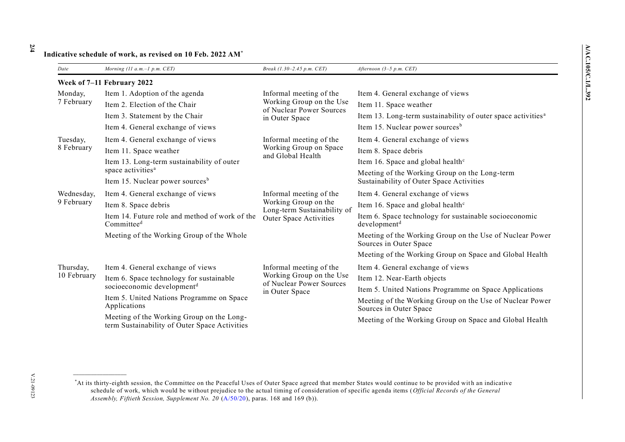## 2/4

## Indicative schedule of work, as revised on 10 Feb. 2022 AM\*

| Date                       | Morning (11 a.m.-1 p.m. CET)                                                               | Break (1.30–2.45 p.m. CET)                                                                               | Afternoon $(3-5 p.m. CET)$                                                                |  |  |
|----------------------------|--------------------------------------------------------------------------------------------|----------------------------------------------------------------------------------------------------------|-------------------------------------------------------------------------------------------|--|--|
| Week of 7-11 February 2022 |                                                                                            |                                                                                                          |                                                                                           |  |  |
| Monday,<br>7 February      | Item 1. Adoption of the agenda                                                             | Informal meeting of the<br>Working Group on the Use<br>of Nuclear Power Sources<br>in Outer Space        | Item 4. General exchange of views                                                         |  |  |
|                            | Item 2. Election of the Chair                                                              |                                                                                                          | Item 11. Space weather                                                                    |  |  |
|                            | Item 3. Statement by the Chair                                                             |                                                                                                          | Item 13. Long-term sustainability of outer space activities <sup>a</sup>                  |  |  |
|                            | Item 4. General exchange of views                                                          |                                                                                                          | Item 15. Nuclear power sources <sup>b</sup>                                               |  |  |
| Tuesday,<br>8 February     | Item 4. General exchange of views                                                          | Informal meeting of the<br>Working Group on Space<br>and Global Health                                   | Item 4. General exchange of views                                                         |  |  |
|                            | Item 11. Space weather                                                                     |                                                                                                          | Item 8. Space debris                                                                      |  |  |
|                            | Item 13. Long-term sustainability of outer                                                 |                                                                                                          | Item 16. Space and global health <sup>c</sup>                                             |  |  |
|                            | space activities <sup>a</sup><br>Item 15. Nuclear power sources <sup>b</sup>               |                                                                                                          | Meeting of the Working Group on the Long-term<br>Sustainability of Outer Space Activities |  |  |
| Wednesday,<br>9 February   | Item 4. General exchange of views                                                          | Informal meeting of the<br>Working Group on the<br>Long-term Sustainability of<br>Outer Space Activities | Item 4. General exchange of views                                                         |  |  |
|                            | Item 8. Space debris                                                                       |                                                                                                          | Item 16. Space and global health <sup>c</sup>                                             |  |  |
|                            | Item 14. Future role and method of work of the<br>Committee <sup>d</sup>                   |                                                                                                          | Item 6. Space technology for sustainable socioeconomic<br>development <sup>d</sup>        |  |  |
|                            | Meeting of the Working Group of the Whole                                                  |                                                                                                          | Meeting of the Working Group on the Use of Nuclear Power<br>Sources in Outer Space        |  |  |
|                            |                                                                                            |                                                                                                          | Meeting of the Working Group on Space and Global Health                                   |  |  |
| Thursday,<br>10 February   | Item 4. General exchange of views                                                          | Informal meeting of the<br>Working Group on the Use<br>of Nuclear Power Sources<br>in Outer Space        | Item 4. General exchange of views                                                         |  |  |
|                            | Item 6. Space technology for sustainable                                                   |                                                                                                          | Item 12. Near-Earth objects                                                               |  |  |
|                            | socioeconomic development <sup>d</sup>                                                     |                                                                                                          | Item 5. United Nations Programme on Space Applications                                    |  |  |
|                            | Item 5. United Nations Programme on Space<br>Applications                                  |                                                                                                          | Meeting of the Working Group on the Use of Nuclear Power<br>Sources in Outer Space        |  |  |
|                            | Meeting of the Working Group on the Long-<br>term Sustainability of Outer Space Activities |                                                                                                          | Meeting of the Working Group on Space and Global Health                                   |  |  |

V.21-09123

<sup>\*</sup>At its thirty-eighth session, the Committee on the Peaceful Uses of Outer Space agreed that member States would continue to be provided with an indicative schedule of work, which would be without prejudice to the actual timing of consideration of specific agenda items (Official Records of the General Assembly, Fiftieth Session, Supplement No. 20 (A/50/20), paras. 168 and 169 (b)).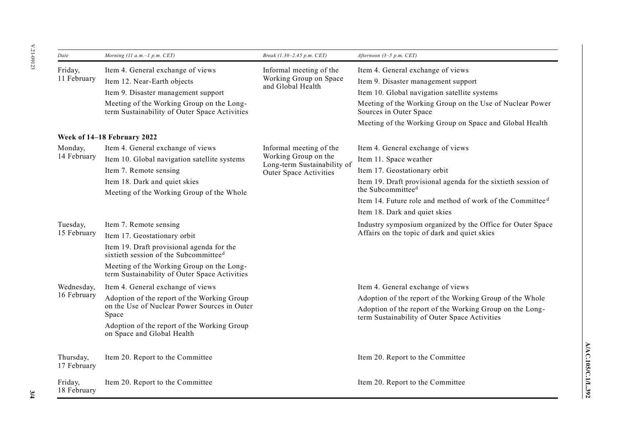| Date                        | Morning $(11 a.m.-1 p.m. CET)$                                                                                                                                                                                                                         | Break (1.30-2.45 p.m. CET)                                                                               | Afternoon $(3-5 p.m. CET)$                                                                                                                                                                                                                                             |  |  |
|-----------------------------|--------------------------------------------------------------------------------------------------------------------------------------------------------------------------------------------------------------------------------------------------------|----------------------------------------------------------------------------------------------------------|------------------------------------------------------------------------------------------------------------------------------------------------------------------------------------------------------------------------------------------------------------------------|--|--|
| Friday,<br>11 February      | Item 4. General exchange of views<br>Item 12. Near-Earth objects<br>Item 9. Disaster management support                                                                                                                                                | Informal meeting of the<br>Working Group on Space<br>and Global Health                                   | Item 4. General exchange of views<br>Item 9. Disaster management support<br>Item 10. Global navigation satellite systems                                                                                                                                               |  |  |
|                             | Meeting of the Working Group on the Long-<br>term Sustainability of Outer Space Activities                                                                                                                                                             |                                                                                                          | Meeting of the Working Group on the Use of Nuclear Power<br>Sources in Outer Space<br>Meeting of the Working Group on Space and Global Health                                                                                                                          |  |  |
| Week of 14–18 February 2022 |                                                                                                                                                                                                                                                        |                                                                                                          |                                                                                                                                                                                                                                                                        |  |  |
| Monday,<br>14 February      | Item 4. General exchange of views<br>Item 10. Global navigation satellite systems<br>Item 7. Remote sensing<br>Item 18. Dark and quiet skies<br>Meeting of the Working Group of the Whole                                                              | Informal meeting of the<br>Working Group on the<br>Long-term Sustainability of<br>Outer Space Activities | Item 4. General exchange of views<br>Item 11. Space weather<br>Item 17. Geostationary orbit<br>Item 19. Draft provisional agenda for the sixtieth session of<br>the Subcommittee <sup>d</sup><br>Item 14. Future role and method of work of the Committee <sup>d</sup> |  |  |
|                             |                                                                                                                                                                                                                                                        |                                                                                                          | Item 18. Dark and quiet skies                                                                                                                                                                                                                                          |  |  |
| Tuesday,<br>15 February     | Item 7. Remote sensing<br>Item 17. Geostationary orbit<br>Item 19. Draft provisional agenda for the<br>sixtieth session of the Subcommittee <sup>d</sup><br>Meeting of the Working Group on the Long-<br>term Sustainability of Outer Space Activities |                                                                                                          | Industry symposium organized by the Office for Outer Space<br>Affairs on the topic of dark and quiet skies                                                                                                                                                             |  |  |
| Wednesday,<br>16 February   | Item 4. General exchange of views<br>Adoption of the report of the Working Group<br>on the Use of Nuclear Power Sources in Outer<br>Space<br>Adoption of the report of the Working Group<br>on Space and Global Health                                 |                                                                                                          | Item 4. General exchange of views<br>Adoption of the report of the Working Group of the Whole<br>Adoption of the report of the Working Group on the Long-<br>term Sustainability of Outer Space Activities                                                             |  |  |
| Thursday,<br>17 February    | Item 20. Report to the Committee                                                                                                                                                                                                                       |                                                                                                          | Item 20. Report to the Committee                                                                                                                                                                                                                                       |  |  |
| Friday,<br>18 February      | Item 20. Report to the Committee                                                                                                                                                                                                                       |                                                                                                          | Item 20. Report to the Committee                                                                                                                                                                                                                                       |  |  |